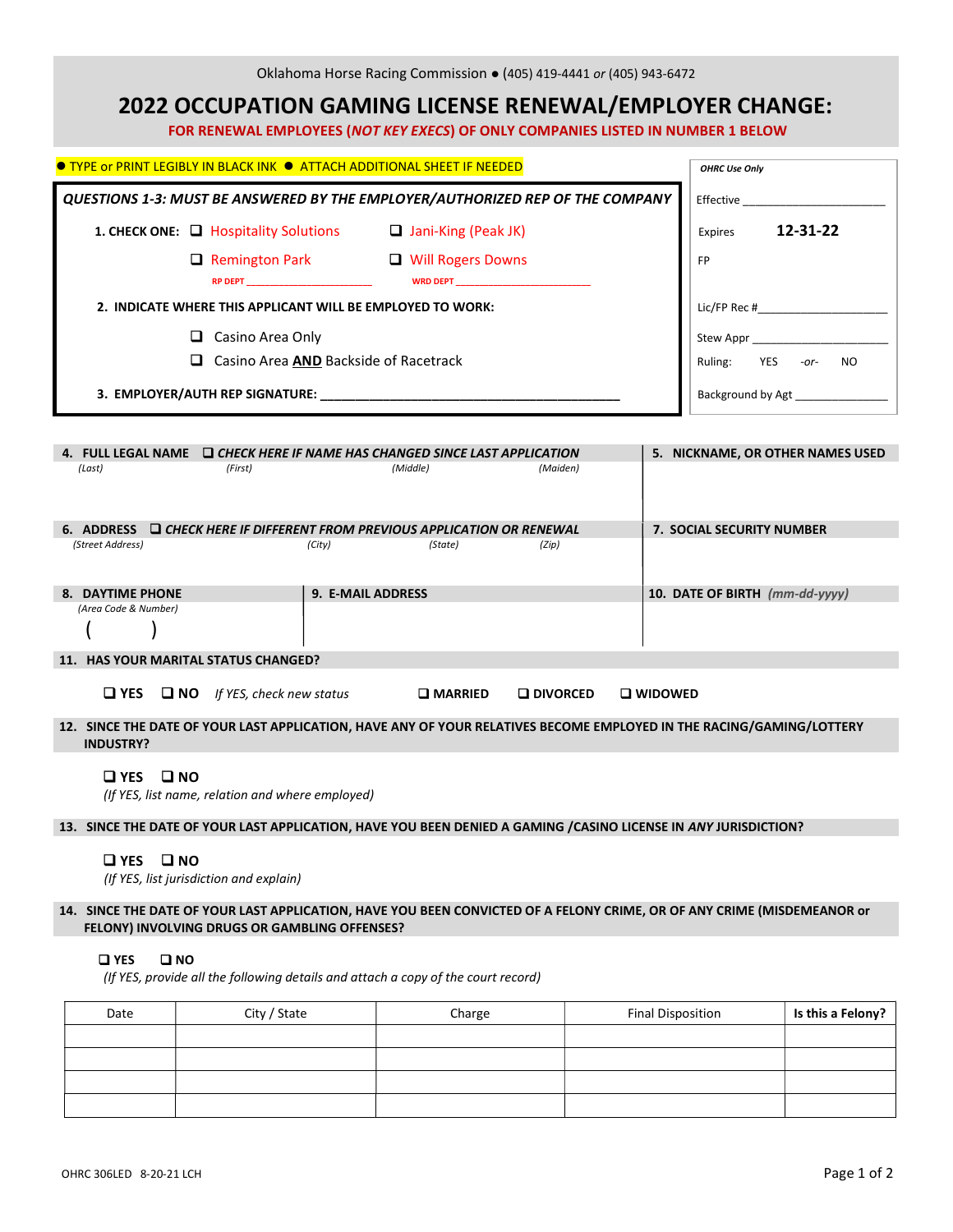|                                                                                                                                          | Oklahoma Horse Racing Commission . (405) 419-4441 or (405) 943-6472              |                   |                                  |
|------------------------------------------------------------------------------------------------------------------------------------------|----------------------------------------------------------------------------------|-------------------|----------------------------------|
|                                                                                                                                          | <b>2022 OCCUPATION GAMING LICENSE RENEWAL/EMPLOYER CHANGE:</b>                   |                   |                                  |
|                                                                                                                                          | FOR RENEWAL EMPLOYEES (NOT KEY EXECS) OF ONLY COMPANIES LISTED IN NUMBER 1 BELOW |                   |                                  |
| ● TYPE or PRINT LEGIBLY IN BLACK INK ● ATTACH ADDITIONAL SHEET IF NEEDED                                                                 |                                                                                  |                   | <b>OHRC Use Only</b>             |
| QUESTIONS 1-3: MUST BE ANSWERED BY THE EMPLOYER/AUTHORIZED REP OF THE COMPANY                                                            |                                                                                  |                   | <b>Effective</b>                 |
| 1. CHECK ONE: Q Hospitality Solutions Q Jani-King (Peak JK)                                                                              |                                                                                  |                   | 12-31-22<br>Expires              |
|                                                                                                                                          | □ Remington Park □ Will Rogers Downs                                             |                   | <b>FP</b>                        |
| 2. INDICATE WHERE THIS APPLICANT WILL BE EMPLOYED TO WORK:                                                                               |                                                                                  |                   |                                  |
| $\Box$ Casino Area Only                                                                                                                  |                                                                                  |                   | Stew Appr                        |
|                                                                                                                                          | □ Casino Area AND Backside of Racetrack                                          |                   | Ruling: YES -or- NO              |
|                                                                                                                                          |                                                                                  |                   | Background by Agt                |
| 4. FULL LEGAL NAME └ <b>❑</b> CHECK HERE IF NAME HAS CHANGED SINCE LAST APPLICATION<br>(First)<br>(Last)                                 | (Middle)                                                                         | (Maiden)          | 5. NICKNAME, OR OTHER NAMES USED |
| 6. ADDRESS Q CHECK HERE IF DIFFERENT FROM PREVIOUS APPLICATION OR RENEWAL                                                                |                                                                                  |                   | <b>7. SOCIAL SECURITY NUMBER</b> |
| (Street Address)                                                                                                                         | (City)<br>(State)                                                                | (Zip)             |                                  |
| 8. DAYTIME PHONE                                                                                                                         | 9. E-MAIL ADDRESS                                                                |                   | 10. DATE OF BIRTH (mm-dd-yyyy)   |
| (Area Code & Number)                                                                                                                     |                                                                                  |                   |                                  |
| 11. HAS YOUR MARITAL STATUS CHANGED?                                                                                                     |                                                                                  |                   |                                  |
| $\Box$ YES $\Box$ NO If YES, check new status                                                                                            | <b>Q</b> MARRIED                                                                 | <b>Q</b> DIVORCED | <b>Q</b> WIDOWED                 |
| 12. SINCE THE DATE OF YOUR LAST APPLICATION, HAVE ANY OF YOUR RELATIVES BECOME EMPLOYED IN THE RACING/GAMING/LOTTERY<br><b>INDUSTRY?</b> |                                                                                  |                   |                                  |
| $\square$ YES<br>$\square$ NO<br>(If YES, list name, relation and where employed)                                                        |                                                                                  |                   |                                  |
| 13. SINCE THE DATE OF YOUR LAST APPLICATION, HAVE YOU BEEN DENIED A GAMING / CASINO LICENSE IN ANY JURISDICTION?                         |                                                                                  |                   |                                  |
| $\square$ NO<br>$\square$ YES<br>(If YES, list jurisdiction and explain)                                                                 |                                                                                  |                   |                                  |
| 14. SINCE THE DATE OF YOUR LAST APPLICATION, HAVE YOU BEEN CONVICTED OF A FELONY CRIME, OR OF ANY CRIME (MISDEMEANOR or                  |                                                                                  |                   |                                  |

# FELONY) INVOLVING DRUGS OR GAMBLING OFFENSES?

## **QYES Q NO**

(If YES, provide all the following details and attach a copy of the court record)

| Date | City / State | Charge | <b>Final Disposition</b> | Is this a Felony? |
|------|--------------|--------|--------------------------|-------------------|
|      |              |        |                          |                   |
|      |              |        |                          |                   |
|      |              |        |                          |                   |
|      |              |        |                          |                   |